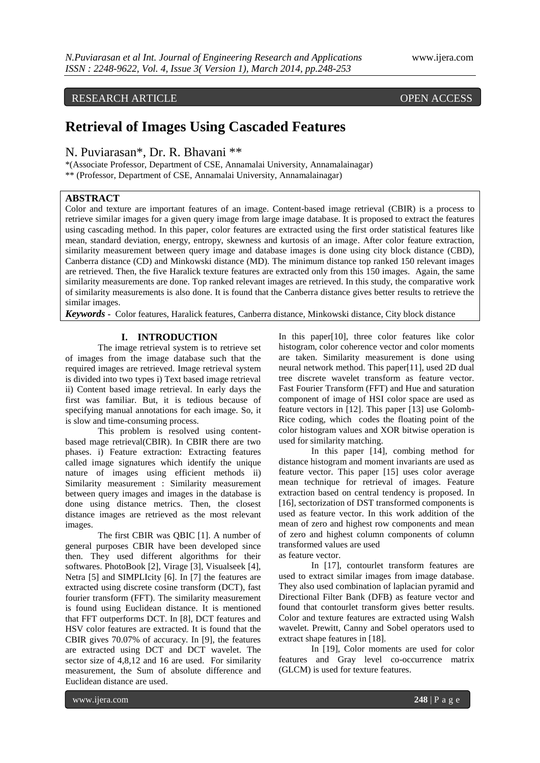# RESEARCH ARTICLE OPEN ACCESS

# **Retrieval of Images Using Cascaded Features**

# N. Puviarasan\*, Dr. R. Bhavani \*\*

\*(Associate Professor, Department of CSE, Annamalai University, Annamalainagar) \*\* (Professor, Department of CSE, Annamalai University, Annamalainagar)

# **ABSTRACT**

Color and texture are important features of an image. Content-based image retrieval (CBIR) is a process to retrieve similar images for a given query image from large image database. It is proposed to extract the features using cascading method. In this paper, color features are extracted using the first order statistical features like mean, standard deviation, energy, entropy, skewness and kurtosis of an image. After color feature extraction, similarity measurement between query image and database images is done using city block distance (CBD), Canberra distance (CD) and Minkowski distance (MD). The minimum distance top ranked 150 relevant images are retrieved. Then, the five Haralick texture features are extracted only from this 150 images. Again, the same similarity measurements are done. Top ranked relevant images are retrieved. In this study, the comparative work of similarity measurements is also done. It is found that the Canberra distance gives better results to retrieve the similar images.

*Keywords* **-** Color features, Haralick features, Canberra distance, Minkowski distance, City block distance

## **I. INTRODUCTION**

The image retrieval system is to retrieve set of images from the image database such that the required images are retrieved. Image retrieval system is divided into two types i) Text based image retrieval ii) Content based image retrieval. In early days the first was familiar. But, it is tedious because of specifying manual annotations for each image. So, it is slow and time-consuming process.

This problem is resolved using contentbased mage retrieval(CBIR). In CBIR there are two phases. i) Feature extraction: Extracting features called image signatures which identify the unique nature of images using efficient methods ii) Similarity measurement : Similarity measurement between query images and images in the database is done using distance metrics. Then, the closest distance images are retrieved as the most relevant images.

The first CBIR was QBIC [1]. A number of general purposes CBIR have been developed since then. They used different algorithms for their softwares. PhotoBook [2], Virage [3], Visualseek [4], Netra [5] and SIMPLIcity [6]. In [7] the features are extracted using discrete cosine transform (DCT), fast fourier transform (FFT). The similarity measurement is found using Euclidean distance. It is mentioned that FFT outperforms DCT. In [8], DCT features and HSV color features are extracted. It is found that the CBIR gives 70.07% of accuracy. In [9], the features are extracted using DCT and DCT wavelet. The sector size of 4,8,12 and 16 are used. For similarity measurement, the Sum of absolute difference and Euclidean distance are used.

In this paper[10], three color features like color histogram, color coherence vector and color moments are taken. Similarity measurement is done using neural network method. This paper[11], used 2D dual tree discrete wavelet transform as feature vector. Fast Fourier Transform (FFT) and Hue and saturation component of image of HSI color space are used as feature vectors in [12]. This paper [13] use Golomb-Rice coding, which codes the floating point of the color histogram values and XOR bitwise operation is used for similarity matching.

In this paper [14], combing method for distance histogram and moment invariants are used as feature vector. This paper [15] uses color average mean technique for retrieval of images. Feature extraction based on central tendency is proposed. In [16], sectorization of DST transformed components is used as feature vector. In this work addition of the mean of zero and highest row components and mean of zero and highest column components of column transformed values are used

# as feature vector.

In [17], contourlet transform features are used to extract similar images from image database. They also used combination of laplacian pyramid and Directional Filter Bank (DFB) as feature vector and found that contourlet transform gives better results. Color and texture features are extracted using Walsh wavelet. Prewitt, Canny and Sobel operators used to extract shape features in [18].

In [19], Color moments are used for color features and Gray level co-occurrence matrix (GLCM) is used for texture features.

www.ijera.com **248** | P a g e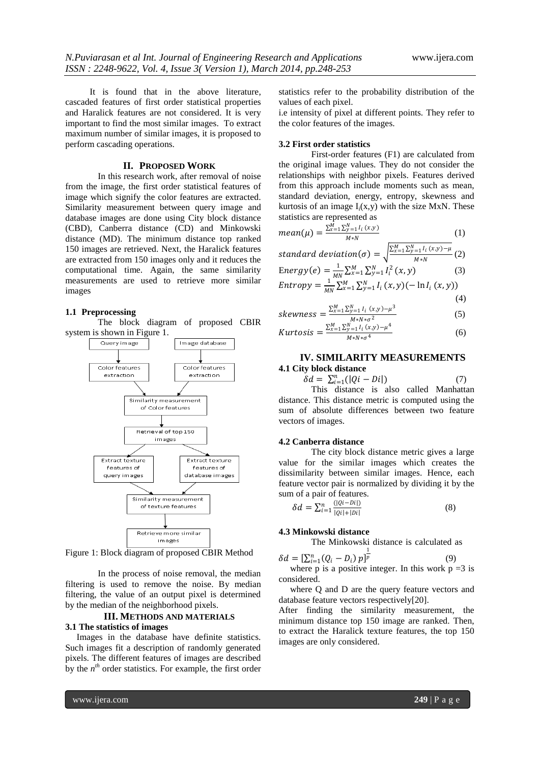It is found that in the above literature, cascaded features of first order statistical properties and Haralick features are not considered. It is very important to find the most similar images. To extract maximum number of similar images, it is proposed to perform cascading operations.

# **II. PROPOSED WORK**

In this research work, after removal of noise from the image, the first order statistical features of image which signify the color features are extracted. Similarity measurement between query image and database images are done using City block distance (CBD), Canberra distance (CD) and Minkowski distance (MD). The minimum distance top ranked 150 images are retrieved. Next, the Haralick features are extracted from 150 images only and it reduces the computational time. Again, the same similarity measurements are used to retrieve more similar images

#### **1.1 Preprocessing**

The block diagram of proposed CBIR system is shown in Figure 1.



Figure 1: Block diagram of proposed CBIR Method

In the process of noise removal, the median filtering is used to remove the noise. By median filtering, the value of an output pixel is determined by the median of the neighborhood pixels.

### **III. METHODS AND MATERIALS 3.1 The statistics of images**

 Images in the database have definite statistics. Such images fit a description of randomly generated pixels. The different features of images are described by the  $n^{th}$  order statistics. For example, the first order statistics refer to the probability distribution of the values of each pixel.

i.e intensity of pixel at different points. They refer to the color features of the images.

#### **3.2 First order statistics**

First-order features (F1) are calculated from the original image values. They do not consider the relationships with neighbor pixels. Features derived from this approach include moments such as mean, standard deviation, energy, entropy, skewness and kurtosis of an image  $I_i(x,y)$  with the size MxN. These statistics are represented as

mean(
$$
\mu
$$
) =  $\frac{\sum_{x=1}^{M} \sum_{y=1}^{N} l_i(x, y)}{M*N}$  (1)  
standard deviation( $\pi$ ) =  $\sqrt{\sum_{x=1}^{M} \sum_{y=1}^{N} l_i(x, y) - \mu}$  (2)

standard deviation(
$$
\sigma
$$
) =  $\sqrt{\frac{2x+12y+17x+6y}{M*N}}$  (2)  
Energy(*e*) =  $\frac{1}{MN} \sum_{x=1}^{M} \sum_{y=1}^{N} I_i^2(x, y)$  (3)  
Entropy =  $\frac{1}{MN} \sum_{x=1}^{M} \sum_{y=1}^{N} I_i(x, y) (-\ln I_i(x, y))$ 

$$
\nabla^M \cdot \nabla^N \cdot \left( \nabla \cdot \nabla^2 \right)^2 \tag{4}
$$

$$
skewness = \frac{\sum_{x=1}^{M} \sum_{y=1}^{N} l_i(x, y) - \mu^3}{M*N*\sigma^2}
$$
(5)

$$
Kurtosis = \frac{\sum_{x=1}^{M} \sum_{y=1}^{N} I_i(x, y) - \mu^4}{M*N*\sigma^4}
$$
(6)

# **IV. SIMILARITY MEASUREMENTS 4.1 City block distance**

 $\delta d = \sum_{i=1}^n (|Qi - Di|)$ (7)

This distance is also called Manhattan distance. This distance metric is computed using the sum of absolute differences between two feature vectors of images.

#### **4.2 Canberra distance**

The city block distance metric gives a large value for the similar images which creates the dissimilarity between similar images. Hence, each feature vector pair is normalized by dividing it by the sum of a pair of features.

$$
\delta d = \sum_{i=1}^{n} \frac{(|q_i - bi|)}{|q_i| + |Di|} \tag{8}
$$

# **4.3 Minkowski distance**

The Minkowski distance is calculated as

$$
\delta d = \left[\sum_{i=1}^{n} (Q_i - D_i) p\right]^{\frac{1}{p}}
$$
 (9)  
where p is a positive integer. In this work p = 3 is

considered. where Q and D are the query feature vectors and database feature vectors respectively[20].

After finding the similarity measurement, the minimum distance top 150 image are ranked. Then, to extract the Haralick texture features, the top 150 images are only considered.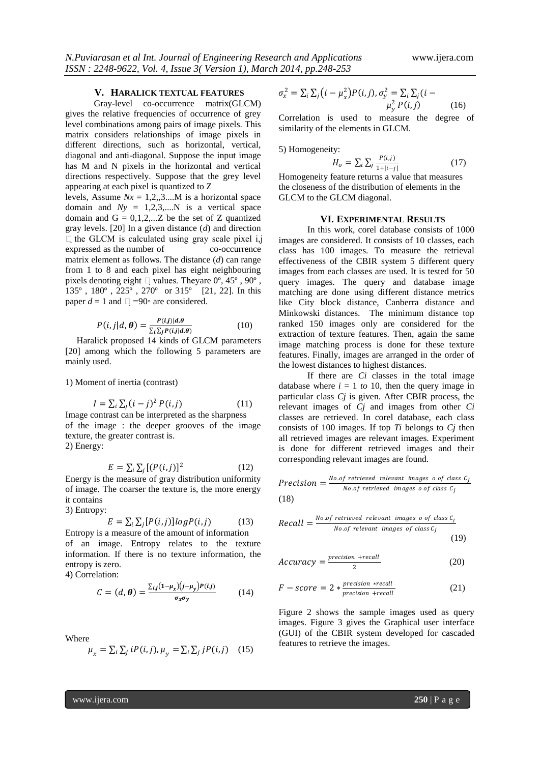### **V. HARALICK TEXTUAL FEATURES**

Gray-level co-occurrence matrix(GLCM) gives the relative frequencies of occurrence of grey level combinations among pairs of image pixels. This matrix considers relationships of image pixels in different directions, such as horizontal, vertical, diagonal and anti-diagonal. Suppose the input image has M and N pixels in the horizontal and vertical directions respectively. Suppose that the grey level appearing at each pixel is quantized to Z

levels, Assume  $Nx = 1,2,3...M$  is a horizontal space domain and  $Ny = 1,2,3,...N$  is a vertical space domain and  $G = 0,1,2,...Z$  be the set of Z quantized gray levels. [20] In a given distance (*d*) and direction  $\Box$  the GLCM is calculated using gray scale pixel i,j expressed as the number of co-occurrence matrix element as follows. The distance (*d*) can range from 1 to 8 and each pixel has eight neighbouring pixels denoting eight  $\Box$  values. Theyare  $0^{\circ}$ , 45°, 90°, 135º , 180º , 225º , 270º or 315º [21, 22]. In this paper  $d = 1$  and  $\Box = 90$ <sup>°</sup> are considered.

$$
P(i,j|d,\boldsymbol{\theta}) = \frac{P(i,j)|d,\theta}{\sum_{i} \sum_{j} P(i,j|d,\theta)}
$$
(10)

Haralick proposed 14 kinds of GLCM parameters [20] among which the following 5 parameters are mainly used.

1) Moment of inertia (contrast)

$$
I = \sum_{i} \sum_{j} (i - j)^2 P(i, j) \tag{11}
$$

Image contrast can be interpreted as the sharpness of the image : the deeper grooves of the image texture, the greater contrast is.

2) Energy:

$$
E = \sum_{i} \sum_{j} \left[ (P(i, j)) \right]^2 \tag{12}
$$

Energy is the measure of gray distribution uniformity of image. The coarser the texture is, the more energy it contains

3) Entropy:

$$
E = \sum_{i} \sum_{j} [P(i, j)] log P(i, j) \tag{13}
$$

Entropy is a measure of the amount of information of an image. Entropy relates to the texture information. If there is no texture information, the entropy is zero.

4) Correlation:

$$
C = (d, \theta) = \frac{\sum_{i,j} (1 - \mu_x)(j - \mu_y) P(i,j)}{\sigma_x \sigma_y}
$$
(14)

Where

$$
\mu_x = \sum_i \sum_j iP(i,j), \mu_y = \sum_i \sum_j jP(i,j) \quad (15)
$$

$$
\sigma_x^2 = \sum_i \sum_j (i - \mu_x^2) P(i, j), \sigma_y^2 = \sum_i \sum_j (i - \mu_y^2) P(i, j) \tag{16}
$$

Correlation is used to measure the degree of similarity of the elements in GLCM.

5) Homogeneity:

$$
H_o = \sum_{i} \sum_{j} \frac{P(i,j)}{1 + |i - j|} \tag{17}
$$

Homogeneity feature returns a value that measures the closeness of the distribution of elements in the GLCM to the GLCM diagonal.

#### **VI. EXPERIMENTAL RESULTS**

In this work, corel database consists of 1000 images are considered. It consists of 10 classes, each class has 100 images. To measure the retrieval effectiveness of the CBIR system 5 different query images from each classes are used. It is tested for 50 query images. The query and database image matching are done using different distance metrics like City block distance, Canberra distance and Minkowski distances. The minimum distance top ranked 150 images only are considered for the extraction of texture features. Then, again the same image matching process is done for these texture features. Finally, images are arranged in the order of the lowest distances to highest distances.

If there are *Ci* classes in the total image database where  $i = 1$  *to* 10, then the query image in particular class *Cj* is given. After CBIR process, the relevant images of *Cj* and images from other *Ci*  classes are retrieved. In corel database, each class consists of 100 images. If top *Ti* belongs to *Cj* then all retrieved images are relevant images. Experiment is done for different retrieved images and their corresponding relevant images are found.

*Precision* = 
$$
\frac{No.of
$$
 retrieved relevant images o of class  $C_J$   
No.of retrieved images o of class  $C_j$   
(18)

Recall = 
$$
\frac{No.of \text{ retrieved relevant images of class } C_j}{No.of \text{ relevant images of class } C_j}
$$
 (19)

$$
Accuracy = \frac{precision + recall}{2}
$$
 (20)

$$
F-score = 2 * \frac{precision * recall}{precision + recall}
$$
 (21)

Figure 2 shows the sample images used as query images. Figure 3 gives the Graphical user interface (GUI) of the CBIR system developed for cascaded features to retrieve the images.

www.ijera.com **250** | P a g e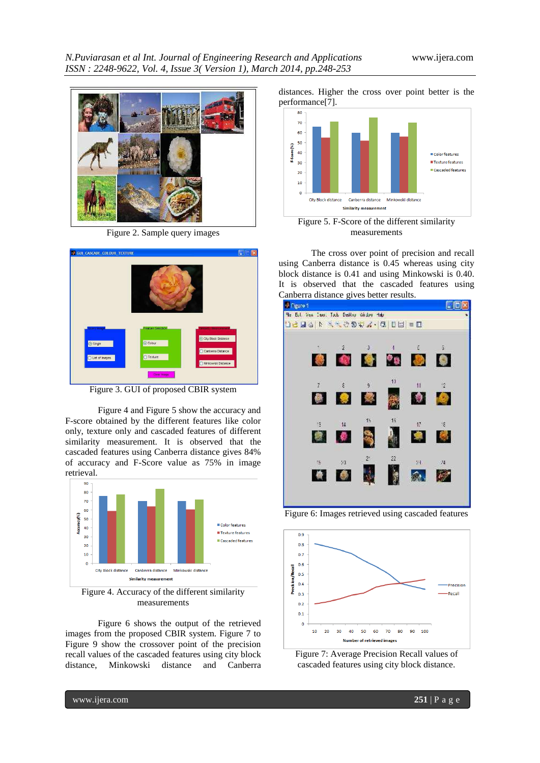

Figure 2. Sample query images



Figure 3. GUI of proposed CBIR system

Figure 4 and Figure 5 show the accuracy and F-score obtained by the different features like color only, texture only and cascaded features of different similarity measurement. It is observed that the cascaded features using Canberra distance gives 84% of accuracy and F-Score value as 75% in image retrieval.



Figure 4. Accuracy of the different similarity measurements

Figure 6 shows the output of the retrieved images from the proposed CBIR system. Figure 7 to Figure 9 show the crossover point of the precision recall values of the cascaded features using city block distance, Minkowski distance and Canberra

distances. Higher the cross over point better is the performance[7].



Figure 5. F-Score of the different similarity measurements

The cross over point of precision and recall using Canberra distance is 0.45 whereas using city block distance is 0.41 and using Minkowski is 0.40. It is observed that the cascaded features using Canberra distance gives better results.



Figure 6: Images retrieved using cascaded features





www.ijera.com **251** | P a g e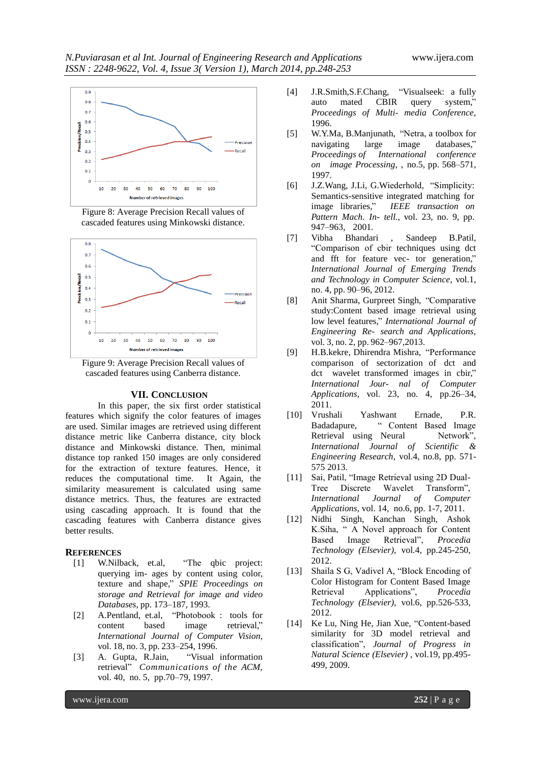

Figure 8: Average Precision Recall values of cascaded features using Minkowski distance.



Figure 9: Average Precision Recall values of cascaded features using Canberra distance.

# **VII. CONCLUSION**

In this paper, the six first order statistical features which signify the color features of images are used. Similar images are retrieved using different distance metric like Canberra distance, city block distance and Minkowski distance. Then, minimal distance top ranked 150 images are only considered for the extraction of texture features. Hence, it reduces the computational time. It Again, the similarity measurement is calculated using same distance metrics. Thus, the features are extracted using cascading approach. It is found that the cascading features with Canberra distance gives better results.

# **REFERENCES**

- [1] W.Nilback, et.al, "The qbic project: querying im- ages by content using color, texture and shape," *SPIE Proceedings on storage and Retrieval for image and video Databases*, pp. 173–187, 1993.
- [2] A.Pentland, et.al, "Photobook : tools for content based image retrieval," *International Journal of Computer Vision*, vol. 18, no. 3, pp. 233–254, 1996.
- [3] A. Gupta, R.Jain, "Visual information retrieval" *Communications of the ACM,* vol. 40, no. 5, pp.70–79, 1997.
- [4] J.R.Smith,S.F.Chang, "Visualseek: a fully auto mated CBIR query system," *Proceedings of Multi- media Conference*, 1996.
- [5] W.Y.Ma, B.Manjunath, "Netra, a toolbox for navigating large image databases," *Proceedings of International conference on image Processing*, , no.5, pp. 568–571, 1997.
- [6] J.Z.Wang, J.Li, G.Wiederhold, "Simplicity: Semantics-sensitive integrated matching for image libraries," *IEEE transaction on Pattern Mach. In- tell.*, vol. 23, no. 9, pp. 947–963, 2001.
- [7] Vibha Bhandari , Sandeep B.Patil, "Comparison of cbir techniques using dct and fft for feature vec- tor generation," *International Journal of Emerging Trends and Technology in Computer Science*, vol.1, no. 4, pp. 90–96, 2012.
- [8] Anit Sharma, Gurpreet Singh, "Comparative study:Content based image retrieval using low level features," *International Journal of Engineering Re- search and Applications*, vol. 3, no. 2, pp. 962–967,2013.
- [9] H.B.kekre, Dhirendra Mishra, "Performance comparison of sectorization of dct and dct wavelet transformed images in cbir," *International Jour- nal of Computer Applications*, vol. 23, no. 4, pp.26–34, 2011.
- [10] Vrushali Yashwant Ernade, P.R. Badadapure, " Content Based Image Retrieval using Neural Network", *International Journal of Scientific & Engineering Research*, vol.4, no.8, pp. 571- 575 2013.
- [11] Sai, Patil, "Image Retrieval using 2D Dual-Tree Discrete Wavelet Transform", *International Journal of Computer Applications*, vol. 14, no.6, pp. 1-7, 2011.
- [12] Nidhi Singh, Kanchan Singh, Ashok K.Siha, " A Novel approach for Content Based Image Retrieval", *Procedia Technology (Elsevier),* vol.4, pp.245-250, 2012.
- [13] Shaila S G, Vadivel A, "Block Encoding of Color Histogram for Content Based Image Retrieval Applications", *Procedia Technology (Elsevier),* vol.6, pp.526-533, 2012.
- [14] Ke Lu, Ning He, Jian Xue, "Content-based similarity for 3D model retrieval and classification", *Journal of Progress in Natural Science (Elsevier)* , vol.19, pp.495- 499, 2009.